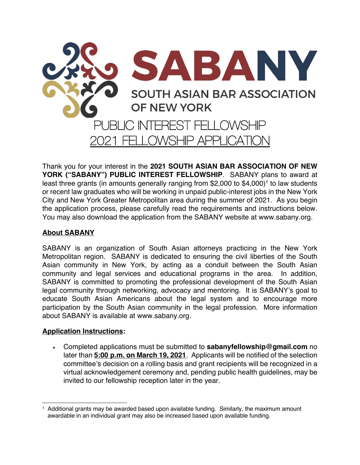

Thank you for your interest in the **2021 SOUTH ASIAN BAR ASSOCIATION OF NEW YORK ("SABANY") PUBLIC INTEREST FELLOWSHIP**. SABANY plans to award at least three grants (in amounts generally ranging from \$2,000 to \$4,000)<sup>1</sup> to law students or recent law graduates who will be working in unpaid public-interest jobs in the New York City and New York Greater Metropolitan area during the summer of 2021. As you begin the application process, please carefully read the requirements and instructions below. You may also download the application from the SABANY website at www.sabany.org.

#### **About SABANY**

SABANY is an organization of South Asian attorneys practicing in the New York Metropolitan region. SABANY is dedicated to ensuring the civil liberties of the South Asian community in New York, by acting as a conduit between the South Asian community and legal services and educational programs in the area. In addition, SABANY is committed to promoting the professional development of the South Asian legal community through networking, advocacy and mentoring. It is SABANY's goal to educate South Asian Americans about the legal system and to encourage more participation by the South Asian community in the legal profession. More information about SABANY is available at www.sabany.org.

#### **Application Instructions:**

• Completed applications must be submitted to **sabanyfellowship@gmail.com** no later than **5:00 p.m. on March 19, 2021**. Applicants will be notified of the selection committee's decision on a rolling basis and grant recipients will be recognized in a virtual acknowledgement ceremony and, pending public health guidelines, may be invited to our fellowship reception later in the year.

<sup>1</sup> Additional grants may be awarded based upon available funding. Similarly, the maximum amount awardable in an individual grant may also be increased based upon available funding.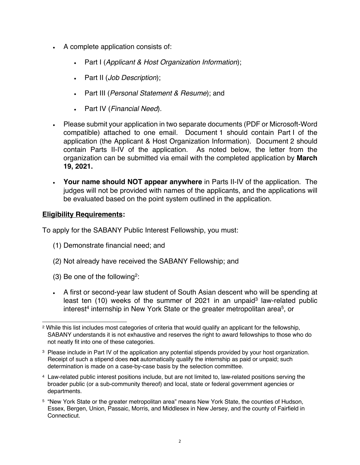- A complete application consists of:
	- Part I (*Applicant & Host Organization Information*);
	- Part II (*Job Description*);
	- Part III (*Personal Statement & Resume*); and
	- Part IV (*Financial Need*).
- Please submit your application in two separate documents (PDF or Microsoft-Word compatible) attached to one email. Document 1 should contain Part I of the application (the Applicant & Host Organization Information). Document 2 should contain Parts II-IV of the application. As noted below, the letter from the organization can be submitted via email with the completed application by **March 19, 2021.**
- **Your name should NOT appear anywhere** in Parts II-IV of the application. The judges will not be provided with names of the applicants, and the applications will be evaluated based on the point system outlined in the application.

#### **Eligibility Requirements:**

To apply for the SABANY Public Interest Fellowship, you must:

- (1) Demonstrate financial need; and
- (2) Not already have received the SABANY Fellowship; and
- (3) Be one of the following2:
- A first or second-year law student of South Asian descent who will be spending at least ten  $(10)$  weeks of the summer of 2021 in an unpaid<sup>3</sup> law-related public interest<sup>4</sup> internship in New York State or the greater metropolitan area<sup>5</sup>, or

- 4 Law-related public interest positions include, but are not limited to, law-related positions serving the broader public (or a sub-community thereof) and local, state or federal government agencies or departments.
- <sup>5</sup> "New York State or the greater metropolitan area" means New York State, the counties of Hudson, Essex, Bergen, Union, Passaic, Morris, and Middlesex in New Jersey, and the county of Fairfield in Connecticut.

<sup>2</sup> While this list includes most categories of criteria that would qualify an applicant for the fellowship, SABANY understands it is not exhaustive and reserves the right to award fellowships to those who do not neatly fit into one of these categories.

<sup>&</sup>lt;sup>3</sup> Please include in Part IV of the application any potential stipends provided by your host organization. Receipt of such a stipend does **not** automatically qualify the internship as paid or unpaid; such determination is made on a case-by-case basis by the selection committee.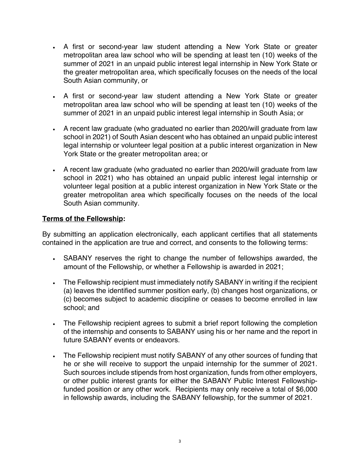- A first or second-year law student attending a New York State or greater metropolitan area law school who will be spending at least ten (10) weeks of the summer of 2021 in an unpaid public interest legal internship in New York State or the greater metropolitan area, which specifically focuses on the needs of the local South Asian community, or
- A first or second-year law student attending a New York State or greater metropolitan area law school who will be spending at least ten (10) weeks of the summer of 2021 in an unpaid public interest legal internship in South Asia; or
- A recent law graduate (who graduated no earlier than 2020/will graduate from law school in 2021) of South Asian descent who has obtained an unpaid public interest legal internship or volunteer legal position at a public interest organization in New York State or the greater metropolitan area; or
- A recent law graduate (who graduated no earlier than 2020/will graduate from law school in 2021) who has obtained an unpaid public interest legal internship or volunteer legal position at a public interest organization in New York State or the greater metropolitan area which specifically focuses on the needs of the local South Asian community.

#### **Terms of the Fellowship:**

By submitting an application electronically, each applicant certifies that all statements contained in the application are true and correct, and consents to the following terms:

- SABANY reserves the right to change the number of fellowships awarded, the amount of the Fellowship, or whether a Fellowship is awarded in 2021;
- The Fellowship recipient must immediately notify SABANY in writing if the recipient (a) leaves the identified summer position early, (b) changes host organizations, or (c) becomes subject to academic discipline or ceases to become enrolled in law school; and
- The Fellowship recipient agrees to submit a brief report following the completion of the internship and consents to SABANY using his or her name and the report in future SABANY events or endeavors.
- The Fellowship recipient must notify SABANY of any other sources of funding that he or she will receive to support the unpaid internship for the summer of 2021. Such sources include stipends from host organization, funds from other employers, or other public interest grants for either the SABANY Public Interest Fellowshipfunded position or any other work. Recipients may only receive a total of \$6,000 in fellowship awards, including the SABANY fellowship, for the summer of 2021.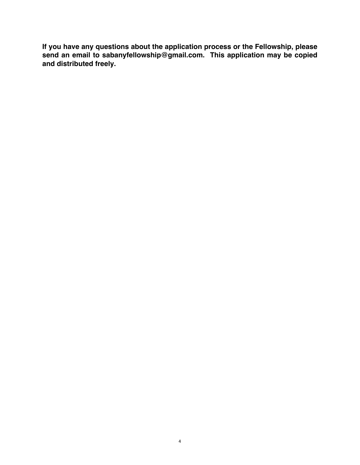**If you have any questions about the application process or the Fellowship, please send an email to sabanyfellowship@gmail.com. This application may be copied and distributed freely.**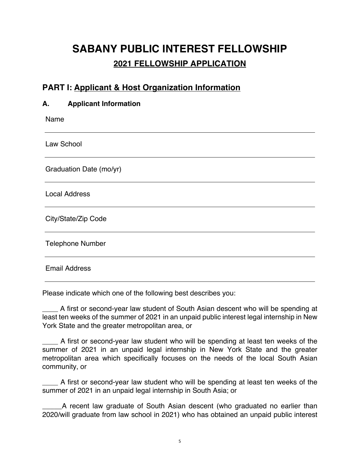## **SABANY PUBLIC INTEREST FELLOWSHIP 2021 FELLOWSHIP APPLICATION**

## **PART I: Applicant & Host Organization Information**

| <b>Applicant Information</b><br>А. |
|------------------------------------|
| Name                               |
| Law School                         |
| Graduation Date (mo/yr)            |
| <b>Local Address</b>               |
| City/State/Zip Code                |
| <b>Telephone Number</b>            |
| <b>Email Address</b>               |

Please indicate which one of the following best describes you:

A first or second-year law student of South Asian descent who will be spending at least ten weeks of the summer of 2021 in an unpaid public interest legal internship in New York State and the greater metropolitan area, or

A first or second-year law student who will be spending at least ten weeks of the summer of 2021 in an unpaid legal internship in New York State and the greater metropolitan area which specifically focuses on the needs of the local South Asian community, or

A first or second-year law student who will be spending at least ten weeks of the summer of 2021 in an unpaid legal internship in South Asia; or

\_\_\_\_\_A recent law graduate of South Asian descent (who graduated no earlier than 2020/will graduate from law school in 2021) who has obtained an unpaid public interest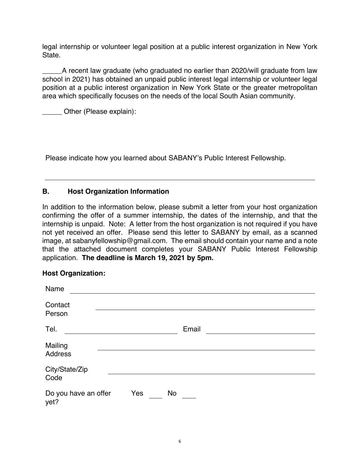legal internship or volunteer legal position at a public interest organization in New York State.

A recent law graduate (who graduated no earlier than 2020/will graduate from law school in 2021) has obtained an unpaid public interest legal internship or volunteer legal position at a public interest organization in New York State or the greater metropolitan area which specifically focuses on the needs of the local South Asian community.

\_\_\_\_\_ Other (Please explain):

Please indicate how you learned about SABANY's Public Interest Fellowship.

#### **B. Host Organization Information**

In addition to the information below, please submit a letter from your host organization confirming the offer of a summer internship, the dates of the internship, and that the internship is unpaid. Note: A letter from the host organization is not required if you have not yet received an offer. Please send this letter to SABANY by email, as a scanned image, at sabanyfellowship@gmail.com. The email should contain your name and a note that the attached document completes your SABANY Public Interest Fellowship application. **The deadline is March 19, 2021 by 5pm.**

#### **Host Organization:**

| Name                         |     |    |       |  |  |
|------------------------------|-----|----|-------|--|--|
| Contact<br>Person            |     |    |       |  |  |
| Tel.                         |     |    | Email |  |  |
| Mailing<br><b>Address</b>    |     |    |       |  |  |
| City/State/Zip<br>Code       |     |    |       |  |  |
| Do you have an offer<br>yet? | Yes | No |       |  |  |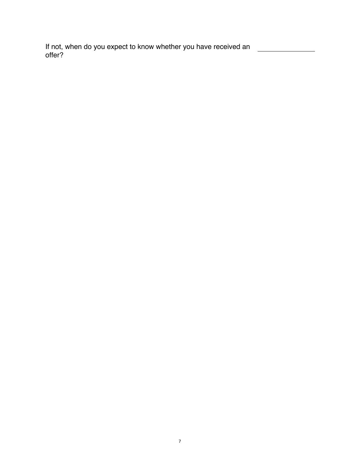If not, when do you expect to know whether you have received an offer?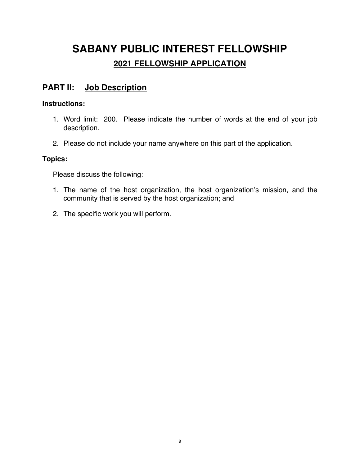# **SABANY PUBLIC INTEREST FELLOWSHIP 2021 FELLOWSHIP APPLICATION**

## **PART II: Job Description**

#### **Instructions:**

- 1. Word limit: 200. Please indicate the number of words at the end of your job description.
- 2. Please do not include your name anywhere on this part of the application.

#### **Topics:**

Please discuss the following:

- 1. The name of the host organization, the host organization's mission, and the community that is served by the host organization; and
- 2. The specific work you will perform.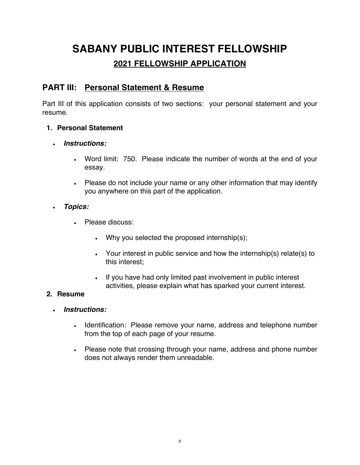# **SABANY PUBLIC INTEREST FELLOWSHIP 2021 FELLOWSHIP APPLICATION**

### **PART III: Personal Statement & Resume**

Part III of this application consists of two sections: your personal statement and your resume.

#### **1. Personal Statement**

- *Instructions:*
	- Word limit: 750. Please indicate the number of words at the end of your essay.
	- Please do not include your name or any other information that may identify you anywhere on this part of the application.
- *Topics:*
	- Please discuss:
		- Why you selected the proposed internship(s);
		- Your interest in public service and how the internship(s) relate(s) to this interest;
		- If you have had only limited past involvement in public interest activities, please explain what has sparked your current interest.

### **2. Resume**

- *Instructions:*
	- Identification: Please remove your name, address and telephone number from the top of each page of your resume.
	- Please note that crossing through your name, address and phone number does not always render them unreadable.